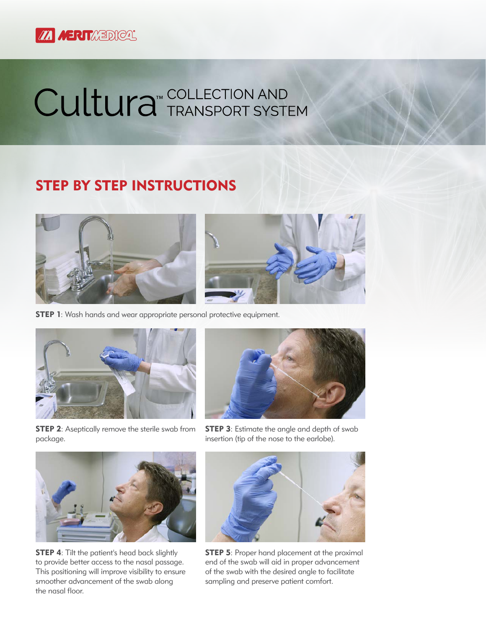

## Cultura<sup>T</sup> TRANSPORT SYSTEM

## STEP BY STEP INSTRUCTIONS





**STEP 1:** Wash hands and wear appropriate personal protective equipment.



**STEP 2:** Aseptically remove the sterile swab from package.



**STEP 3:** Estimate the angle and depth of swab insertion (tip of the nose to the earlobe).



**STEP 4:** Tilt the patient's head back slightly to provide better access to the nasal passage. This positioning will improve visibility to ensure smoother advancement of the swab along the nasal floor.



**STEP 5:** Proper hand placement at the proximal end of the swab will aid in proper advancement of the swab with the desired angle to facilitate sampling and preserve patient comfort.